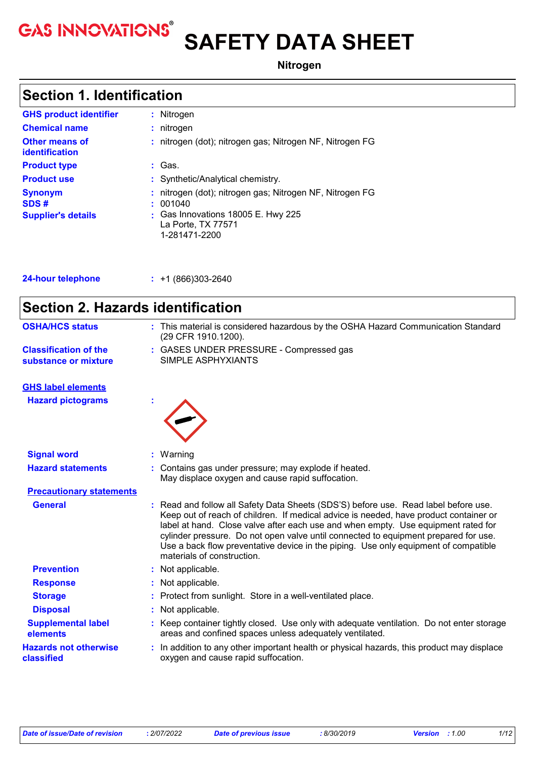# **GAS INNOVATIONS<sup>®</sup> SAFETY DATA SHEET**

**Nitrogen**

# **Section 1. Identification**

| <b>GHS product identifier</b>                       |    | : Nitrogen                                                                                                                                    |
|-----------------------------------------------------|----|-----------------------------------------------------------------------------------------------------------------------------------------------|
| <b>Chemical name</b>                                |    | $:$ nitrogen                                                                                                                                  |
| <b>Other means of</b><br><b>identification</b>      |    | : nitrogen (dot); nitrogen gas; Nitrogen NF, Nitrogen FG                                                                                      |
| <b>Product type</b>                                 |    | : Gas.                                                                                                                                        |
| <b>Product use</b>                                  |    | : Synthetic/Analytical chemistry.                                                                                                             |
| <b>Synonym</b><br>SDS#<br><b>Supplier's details</b> | ÷. | nitrogen (dot); nitrogen gas; Nitrogen NF, Nitrogen FG<br>001040<br>: Gas Innovations 18005 E. Hwy 225<br>La Porte, TX 77571<br>1-281471-2200 |

| <b>24-hour telephone</b> |
|--------------------------|
|--------------------------|

**24-hour telephone :** +1 (866)303-2640

| <b>Section 2. Hazards identification</b>             |                                                                                                                                                                                                                                                                                                                                                                                                                                                                               |
|------------------------------------------------------|-------------------------------------------------------------------------------------------------------------------------------------------------------------------------------------------------------------------------------------------------------------------------------------------------------------------------------------------------------------------------------------------------------------------------------------------------------------------------------|
| <b>OSHA/HCS status</b>                               | : This material is considered hazardous by the OSHA Hazard Communication Standard<br>(29 CFR 1910.1200).                                                                                                                                                                                                                                                                                                                                                                      |
| <b>Classification of the</b><br>substance or mixture | : GASES UNDER PRESSURE - Compressed gas<br>SIMPLE ASPHYXIANTS                                                                                                                                                                                                                                                                                                                                                                                                                 |
| <b>GHS label elements</b>                            |                                                                                                                                                                                                                                                                                                                                                                                                                                                                               |
| <b>Hazard pictograms</b>                             |                                                                                                                                                                                                                                                                                                                                                                                                                                                                               |
| <b>Signal word</b>                                   | : Warning                                                                                                                                                                                                                                                                                                                                                                                                                                                                     |
| <b>Hazard statements</b>                             | : Contains gas under pressure; may explode if heated.<br>May displace oxygen and cause rapid suffocation.                                                                                                                                                                                                                                                                                                                                                                     |
| <b>Precautionary statements</b>                      |                                                                                                                                                                                                                                                                                                                                                                                                                                                                               |
| <b>General</b>                                       | : Read and follow all Safety Data Sheets (SDS'S) before use. Read label before use.<br>Keep out of reach of children. If medical advice is needed, have product container or<br>label at hand. Close valve after each use and when empty. Use equipment rated for<br>cylinder pressure. Do not open valve until connected to equipment prepared for use.<br>Use a back flow preventative device in the piping. Use only equipment of compatible<br>materials of construction. |
| <b>Prevention</b>                                    | : Not applicable.                                                                                                                                                                                                                                                                                                                                                                                                                                                             |
| <b>Response</b>                                      | Not applicable.                                                                                                                                                                                                                                                                                                                                                                                                                                                               |
| <b>Storage</b>                                       | : Protect from sunlight. Store in a well-ventilated place.                                                                                                                                                                                                                                                                                                                                                                                                                    |
| <b>Disposal</b>                                      | : Not applicable.                                                                                                                                                                                                                                                                                                                                                                                                                                                             |
| <b>Supplemental label</b><br>elements                | : Keep container tightly closed. Use only with adequate ventilation. Do not enter storage<br>areas and confined spaces unless adequately ventilated.                                                                                                                                                                                                                                                                                                                          |
| <b>Hazards not otherwise</b><br>classified           | In addition to any other important health or physical hazards, this product may displace<br>oxygen and cause rapid suffocation.                                                                                                                                                                                                                                                                                                                                               |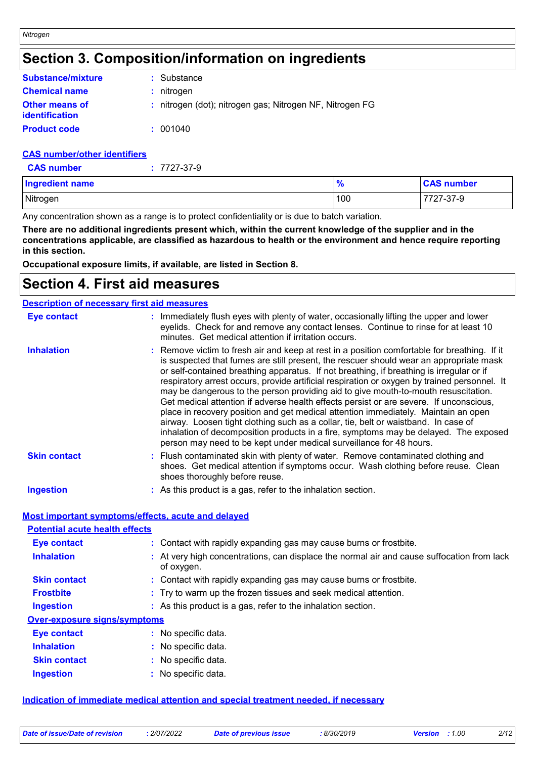# **Section 3. Composition/information on ingredients**

| <b>Substance/mixture</b>                       | : Substance                                              |
|------------------------------------------------|----------------------------------------------------------|
| <b>Chemical name</b>                           | : nitrogen                                               |
| <b>Other means of</b><br><i>identification</i> | : nitrogen (dot); nitrogen gas; Nitrogen NF, Nitrogen FG |
| <b>Product code</b>                            | : 001040                                                 |

### **CAS number/other identifiers**

*Nitrogen*

| <b>Ingredient name</b> | $\frac{9}{6}$ | <b>CAS number</b> |
|------------------------|---------------|-------------------|
| Nitrogen               | 100           | 7727-37-9         |

Any concentration shown as a range is to protect confidentiality or is due to batch variation.

**There are no additional ingredients present which, within the current knowledge of the supplier and in the concentrations applicable, are classified as hazardous to health or the environment and hence require reporting in this section.**

**Occupational exposure limits, if available, are listed in Section 8.**

# **Section 4. First aid measures**

| <b>Description of necessary first aid measures</b> |                                                                                                                                                                                                                                                                                                                                                                                                                                                                                                                                                                                                                                                                                                                                                                                                                                                                                                               |
|----------------------------------------------------|---------------------------------------------------------------------------------------------------------------------------------------------------------------------------------------------------------------------------------------------------------------------------------------------------------------------------------------------------------------------------------------------------------------------------------------------------------------------------------------------------------------------------------------------------------------------------------------------------------------------------------------------------------------------------------------------------------------------------------------------------------------------------------------------------------------------------------------------------------------------------------------------------------------|
| <b>Eye contact</b>                                 | : Immediately flush eyes with plenty of water, occasionally lifting the upper and lower<br>eyelids. Check for and remove any contact lenses. Continue to rinse for at least 10<br>minutes. Get medical attention if irritation occurs.                                                                                                                                                                                                                                                                                                                                                                                                                                                                                                                                                                                                                                                                        |
| <b>Inhalation</b>                                  | : Remove victim to fresh air and keep at rest in a position comfortable for breathing. If it<br>is suspected that fumes are still present, the rescuer should wear an appropriate mask<br>or self-contained breathing apparatus. If not breathing, if breathing is irregular or if<br>respiratory arrest occurs, provide artificial respiration or oxygen by trained personnel. It<br>may be dangerous to the person providing aid to give mouth-to-mouth resuscitation.<br>Get medical attention if adverse health effects persist or are severe. If unconscious,<br>place in recovery position and get medical attention immediately. Maintain an open<br>airway. Loosen tight clothing such as a collar, tie, belt or waistband. In case of<br>inhalation of decomposition products in a fire, symptoms may be delayed. The exposed<br>person may need to be kept under medical surveillance for 48 hours. |
| <b>Skin contact</b>                                | : Flush contaminated skin with plenty of water. Remove contaminated clothing and<br>shoes. Get medical attention if symptoms occur. Wash clothing before reuse. Clean<br>shoes thoroughly before reuse.                                                                                                                                                                                                                                                                                                                                                                                                                                                                                                                                                                                                                                                                                                       |
| <b>Ingestion</b>                                   | : As this product is a gas, refer to the inhalation section.                                                                                                                                                                                                                                                                                                                                                                                                                                                                                                                                                                                                                                                                                                                                                                                                                                                  |

# **Most important symptoms/effects, acute and delayed**

| <b>Potential acute health effects</b> |                                                                                                          |
|---------------------------------------|----------------------------------------------------------------------------------------------------------|
| <b>Eye contact</b>                    | : Contact with rapidly expanding gas may cause burns or frostbite.                                       |
| <b>Inhalation</b>                     | : At very high concentrations, can displace the normal air and cause suffocation from lack<br>of oxygen. |
| <b>Skin contact</b>                   | : Contact with rapidly expanding gas may cause burns or frostbite.                                       |
| <b>Frostbite</b>                      | : Try to warm up the frozen tissues and seek medical attention.                                          |
| <b>Ingestion</b>                      | : As this product is a gas, refer to the inhalation section.                                             |
| <b>Over-exposure signs/symptoms</b>   |                                                                                                          |
| <b>Eye contact</b>                    | : No specific data.                                                                                      |
| <b>Inhalation</b>                     | : No specific data.                                                                                      |
| <b>Skin contact</b>                   | : No specific data.                                                                                      |
| <b>Ingestion</b>                      | : No specific data.                                                                                      |

# **Indication of immediate medical attention and special treatment needed, if necessary**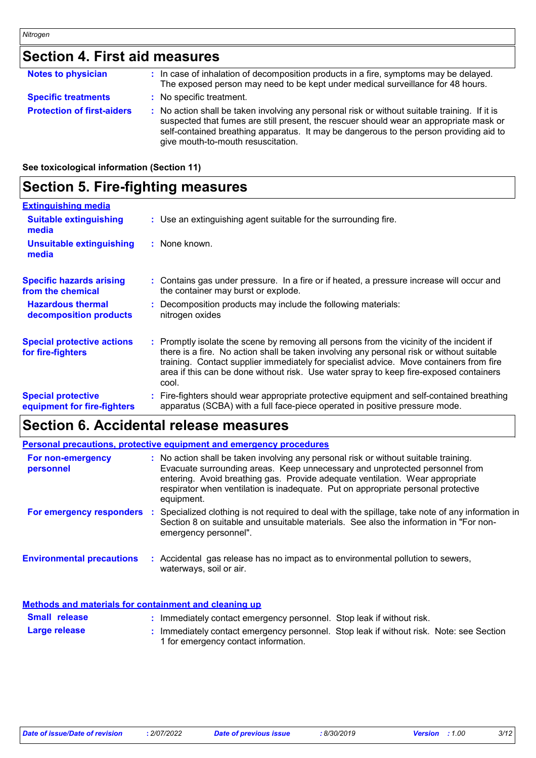# **Section 4. First aid measures**

| <b>Notes to physician</b>         | : In case of inhalation of decomposition products in a fire, symptoms may be delayed.<br>The exposed person may need to be kept under medical surveillance for 48 hours.                                                                                                                                                |
|-----------------------------------|-------------------------------------------------------------------------------------------------------------------------------------------------------------------------------------------------------------------------------------------------------------------------------------------------------------------------|
| <b>Specific treatments</b>        | : No specific treatment.                                                                                                                                                                                                                                                                                                |
| <b>Protection of first-aiders</b> | : No action shall be taken involving any personal risk or without suitable training. If it is<br>suspected that fumes are still present, the rescuer should wear an appropriate mask or<br>self-contained breathing apparatus. It may be dangerous to the person providing aid to<br>give mouth-to-mouth resuscitation. |

### **See toxicological information (Section 11)**

# **Section 5. Fire-fighting measures**

| <b>Extinguishing media</b>                               |                                                                                                                                                                                                                                                                                                                                                                                    |
|----------------------------------------------------------|------------------------------------------------------------------------------------------------------------------------------------------------------------------------------------------------------------------------------------------------------------------------------------------------------------------------------------------------------------------------------------|
| <b>Suitable extinguishing</b><br>media                   | : Use an extinguishing agent suitable for the surrounding fire.                                                                                                                                                                                                                                                                                                                    |
| <b>Unsuitable extinguishing</b><br>media                 | $:$ None known.                                                                                                                                                                                                                                                                                                                                                                    |
| <b>Specific hazards arising</b><br>from the chemical     | : Contains gas under pressure. In a fire or if heated, a pressure increase will occur and<br>the container may burst or explode.                                                                                                                                                                                                                                                   |
| <b>Hazardous thermal</b><br>decomposition products       | Decomposition products may include the following materials:<br>nitrogen oxides                                                                                                                                                                                                                                                                                                     |
| <b>Special protective actions</b><br>for fire-fighters   | Promptly isolate the scene by removing all persons from the vicinity of the incident if<br>there is a fire. No action shall be taken involving any personal risk or without suitable<br>training. Contact supplier immediately for specialist advice. Move containers from fire<br>area if this can be done without risk. Use water spray to keep fire-exposed containers<br>cool. |
| <b>Special protective</b><br>equipment for fire-fighters | Fire-fighters should wear appropriate protective equipment and self-contained breathing<br>apparatus (SCBA) with a full face-piece operated in positive pressure mode.                                                                                                                                                                                                             |

# **Section 6. Accidental release measures**

| <b>Personal precautions, protective equipment and emergency procedures</b> |  |                                                                                                                                                                                                                                                                                                                                                         |  |  |
|----------------------------------------------------------------------------|--|---------------------------------------------------------------------------------------------------------------------------------------------------------------------------------------------------------------------------------------------------------------------------------------------------------------------------------------------------------|--|--|
| For non-emergency<br>personnel                                             |  | : No action shall be taken involving any personal risk or without suitable training.<br>Evacuate surrounding areas. Keep unnecessary and unprotected personnel from<br>entering. Avoid breathing gas. Provide adequate ventilation. Wear appropriate<br>respirator when ventilation is inadequate. Put on appropriate personal protective<br>equipment. |  |  |
| For emergency responders                                                   |  | Specialized clothing is not required to deal with the spillage, take note of any information in<br>Section 8 on suitable and unsuitable materials. See also the information in "For non-<br>emergency personnel".                                                                                                                                       |  |  |
| <b>Environmental precautions</b>                                           |  | : Accidental gas release has no impact as to environmental pollution to sewers,<br>waterways, soil or air.                                                                                                                                                                                                                                              |  |  |

### **Methods and materials for containment and cleaning up**

| <b>Small release</b> | Immediately contact emergency personnel. Stop leak if without risk.                                                           |  |
|----------------------|-------------------------------------------------------------------------------------------------------------------------------|--|
| Large release        | Immediately contact emergency personnel. Stop leak if without risk. Note: see Section<br>1 for emergency contact information. |  |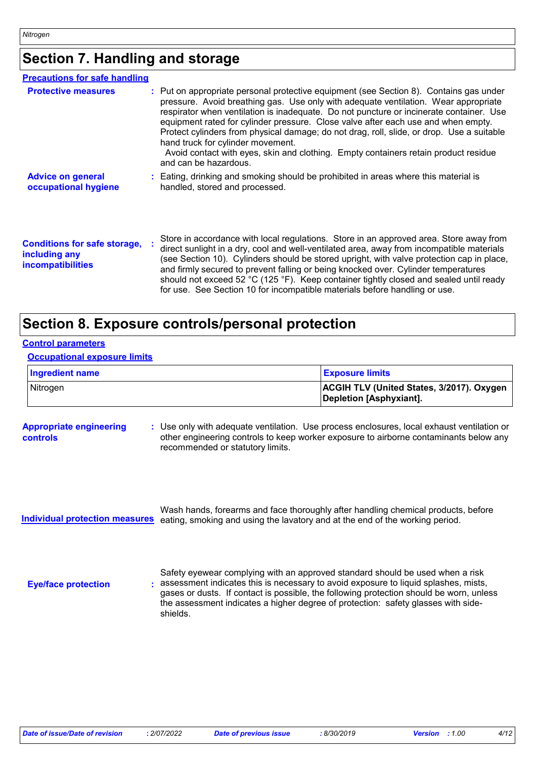# **Section 7. Handling and storage**

| <b>Precautions for safe handling</b>                                             |                                                                                                                                                                                                                                                                                                                                                                                                                                                                                                                                                                                                                 |
|----------------------------------------------------------------------------------|-----------------------------------------------------------------------------------------------------------------------------------------------------------------------------------------------------------------------------------------------------------------------------------------------------------------------------------------------------------------------------------------------------------------------------------------------------------------------------------------------------------------------------------------------------------------------------------------------------------------|
| <b>Protective measures</b>                                                       | : Put on appropriate personal protective equipment (see Section 8). Contains gas under<br>pressure. Avoid breathing gas. Use only with adequate ventilation. Wear appropriate<br>respirator when ventilation is inadequate. Do not puncture or incinerate container. Use<br>equipment rated for cylinder pressure. Close valve after each use and when empty.<br>Protect cylinders from physical damage; do not drag, roll, slide, or drop. Use a suitable<br>hand truck for cylinder movement.<br>Avoid contact with eyes, skin and clothing. Empty containers retain product residue<br>and can be hazardous. |
| <b>Advice on general</b><br>occupational hygiene                                 | : Eating, drinking and smoking should be prohibited in areas where this material is<br>handled, stored and processed.                                                                                                                                                                                                                                                                                                                                                                                                                                                                                           |
| <b>Conditions for safe storage,</b><br>including any<br><i>incompatibilities</i> | Store in accordance with local regulations. Store in an approved area. Store away from<br>direct sunlight in a dry, cool and well-ventilated area, away from incompatible materials<br>(see Section 10). Cylinders should be stored upright, with valve protection cap in place,<br>and firmly secured to prevent falling or being knocked over. Cylinder temperatures<br>should not exceed 52 °C (125 °F). Keep container tightly closed and sealed until ready<br>for use. See Section 10 for incompatible materials before handling or use.                                                                  |

# **Section 8. Exposure controls/personal protection**

| <b>Occupational exposure limits</b> |                                                                             |
|-------------------------------------|-----------------------------------------------------------------------------|
| <b>Ingredient name</b>              | <b>Exposure limits</b>                                                      |
| Nitrogen                            | <b>ACGIH TLV (United States, 3/2017). Oxygen</b><br>Depletion [Asphyxiant]. |

| <b>Appropriate engineering</b> | : Use only with adequate ventilation. Use process enclosures, local exhaust ventilation or |
|--------------------------------|--------------------------------------------------------------------------------------------|
| controls                       | other engineering controls to keep worker exposure to airborne contaminants below any      |
|                                | recommended or statutory limits.                                                           |

Wash hands, forearms and face thoroughly after handling chemical products, before **Individual protection measures** eating, smoking and using the lavatory and at the end of the working period.

**Eye/face protection :**

**Control parameters**

Safety eyewear complying with an approved standard should be used when a risk assessment indicates this is necessary to avoid exposure to liquid splashes, mists, gases or dusts. If contact is possible, the following protection should be worn, unless the assessment indicates a higher degree of protection: safety glasses with sideshields.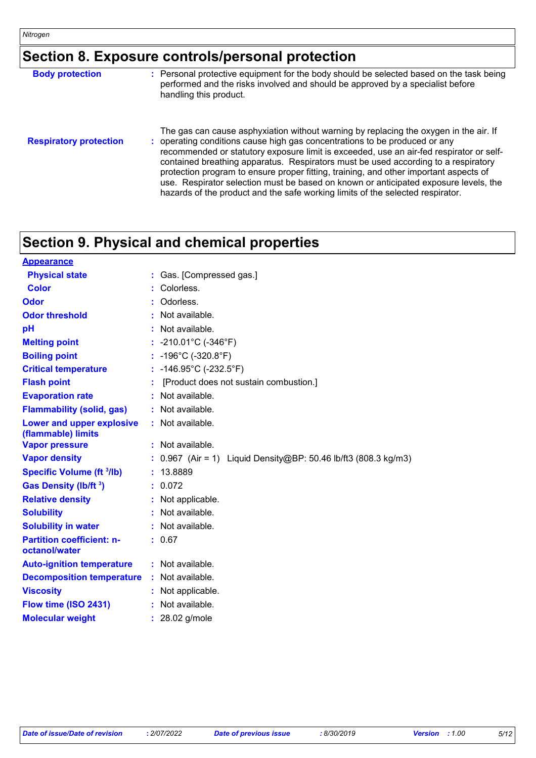# **Section 8. Exposure controls/personal protection**

| <b>Body protection</b>        | : Personal protective equipment for the body should be selected based on the task being<br>performed and the risks involved and should be approved by a specialist before<br>handling this product.                                                                                                                                                                                                                                                                                                                                                                                                                     |
|-------------------------------|-------------------------------------------------------------------------------------------------------------------------------------------------------------------------------------------------------------------------------------------------------------------------------------------------------------------------------------------------------------------------------------------------------------------------------------------------------------------------------------------------------------------------------------------------------------------------------------------------------------------------|
| <b>Respiratory protection</b> | The gas can cause asphyxiation without warning by replacing the oxygen in the air. If<br>: operating conditions cause high gas concentrations to be produced or any<br>recommended or statutory exposure limit is exceeded, use an air-fed respirator or self-<br>contained breathing apparatus. Respirators must be used according to a respiratory<br>protection program to ensure proper fitting, training, and other important aspects of<br>use. Respirator selection must be based on known or anticipated exposure levels, the<br>hazards of the product and the safe working limits of the selected respirator. |

# **Section 9. Physical and chemical properties**

| <b>Appearance</b>                                 |                                                                   |
|---------------------------------------------------|-------------------------------------------------------------------|
| <b>Physical state</b>                             | : Gas. [Compressed gas.]                                          |
| Color                                             | Colorless.                                                        |
| Odor                                              | : Odorless.                                                       |
| <b>Odor threshold</b>                             | : Not available.                                                  |
| pH                                                | : Not available.                                                  |
| <b>Melting point</b>                              | : $-210.01^{\circ}$ C ( $-346^{\circ}$ F)                         |
| <b>Boiling point</b>                              | : $-196^{\circ}$ C ( $-320.8^{\circ}$ F)                          |
| <b>Critical temperature</b>                       | : $-146.95^{\circ}$ C (-232.5 $^{\circ}$ F)                       |
| <b>Flash point</b>                                | [Product does not sustain combustion.]                            |
| <b>Evaporation rate</b>                           | : Not available.                                                  |
| <b>Flammability (solid, gas)</b>                  | : Not available.                                                  |
| Lower and upper explosive<br>(flammable) limits   | : Not available.                                                  |
| <b>Vapor pressure</b>                             | : Not available.                                                  |
| <b>Vapor density</b>                              | : $0.967$ (Air = 1) Liquid Density@BP: 50.46 lb/ft3 (808.3 kg/m3) |
| <b>Specific Volume (ft 3/lb)</b>                  | : 13.8889                                                         |
| Gas Density (lb/ft <sup>3</sup> )                 | : 0.072                                                           |
| <b>Relative density</b>                           | : Not applicable.                                                 |
| <b>Solubility</b>                                 | : Not available.                                                  |
| <b>Solubility in water</b>                        | : Not available.                                                  |
| <b>Partition coefficient: n-</b><br>octanol/water | : 0.67                                                            |
| <b>Auto-ignition temperature</b>                  | : Not available.                                                  |
| <b>Decomposition temperature</b>                  | : Not available.                                                  |
| <b>Viscosity</b>                                  | : Not applicable.                                                 |
| Flow time (ISO 2431)                              | : Not available.                                                  |
| <b>Molecular weight</b>                           | $: 28.02$ g/mole                                                  |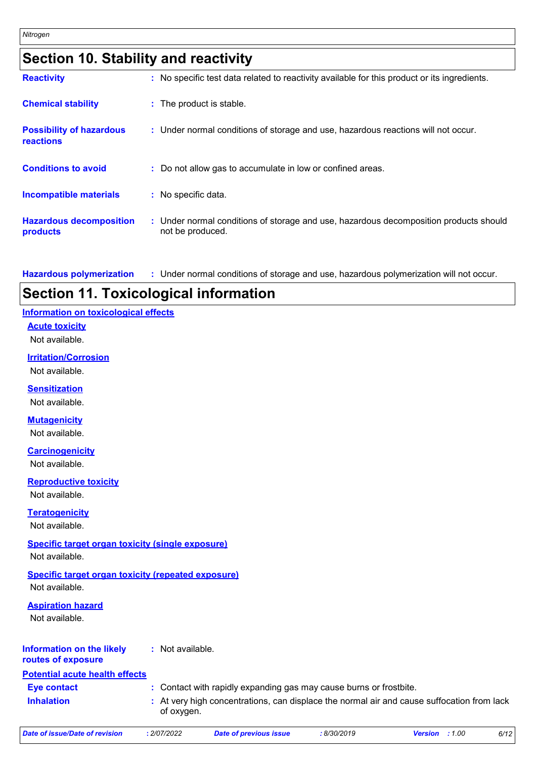| <b>Section 10. Stability and reactivity</b> |  |
|---------------------------------------------|--|
|---------------------------------------------|--|

| <b>Reactivity</b>                            | : No specific test data related to reactivity available for this product or its ingredients.              |
|----------------------------------------------|-----------------------------------------------------------------------------------------------------------|
| <b>Chemical stability</b>                    | : The product is stable.                                                                                  |
| <b>Possibility of hazardous</b><br>reactions | : Under normal conditions of storage and use, hazardous reactions will not occur.                         |
| <b>Conditions to avoid</b>                   | : Do not allow gas to accumulate in low or confined areas.                                                |
| <b>Incompatible materials</b>                | : No specific data.                                                                                       |
| <b>Hazardous decomposition</b><br>products   | : Under normal conditions of storage and use, hazardous decomposition products should<br>not be produced. |

**Hazardous polymerization :** Under normal conditions of storage and use, hazardous polymerization will not occur.

# **Section 11. Toxicological information**

# **Information on toxicological effects**

**Acute toxicity**

Not available.

### **Irritation/Corrosion**

Not available.

# **Sensitization**

Not available.

# **Mutagenicity**

Not available.

### **Carcinogenicity**

Not available.

### **Reproductive toxicity**

Not available.

### **Teratogenicity**

Not available.

### **Specific target organ toxicity (single exposure)**

Not available.

# **Specific target organ toxicity (repeated exposure)**

Not available.

### **Aspiration hazard**

Not available.

#### **Information on the likely routes of exposure :** Not available.

# **Potential acute health effects**

**Eye contact :** Contact with rapidly expanding gas may cause burns or frostbite.

**Inhalation :** At very high concentrations, can displace the normal air and cause suffocation from lack of oxygen.

*Date of issue/Date of revision* **:** *2/07/2022 Date of previous issue : 8/30/2019 Version : 1.00 6/12*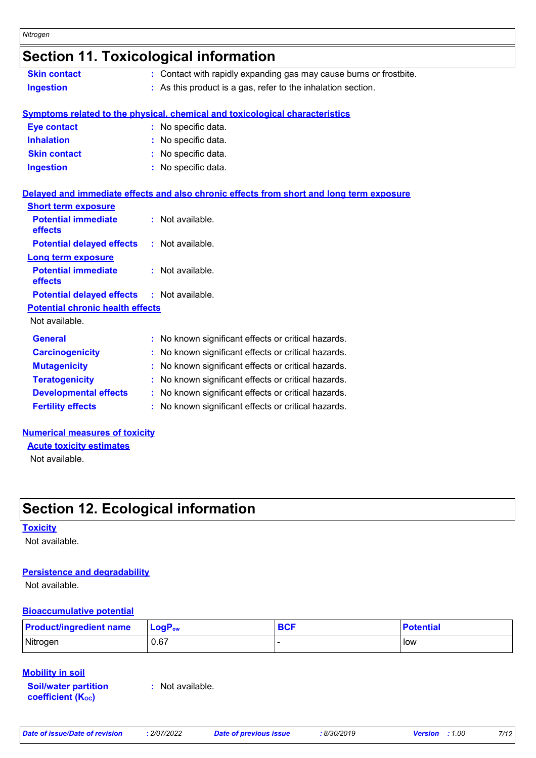# **Section 11. Toxicological information**

| <b>Skin contact</b> | : Contact with rapidly expanding gas may cause burns or frostbite.                                               |
|---------------------|------------------------------------------------------------------------------------------------------------------|
| <b>Ingestion</b>    | : As this product is a gas, refer to the inhalation section.                                                     |
|                     | الممتلا والمتعاط والمستطرات والمتماز والمتحال والمتاحين والمتحال والمتحارب والمتحا والمتحامين والمستحلف والمستحل |

### **Symptoms related to the physical, chemical and toxicological characteristics**

| <b>Eye contact</b>  | : No specific data. |
|---------------------|---------------------|
| <b>Inhalation</b>   | : No specific data. |
| <b>Skin contact</b> | : No specific data. |
| <b>Ingestion</b>    | : No specific data. |

# **Delayed and immediate effects and also chronic effects from short and long term exposure**

| <b>Short term exposure</b>                        |                                                     |
|---------------------------------------------------|-----------------------------------------------------|
| <b>Potential immediate</b><br>effects             | : Not available.                                    |
| <b>Potential delayed effects</b>                  | $:$ Not available.                                  |
| Long term exposure                                |                                                     |
| <b>Potential immediate</b><br>effects             | : Not available.                                    |
| <b>Potential delayed effects : Not available.</b> |                                                     |
| <b>Potential chronic health effects</b>           |                                                     |
| Not available.                                    |                                                     |
| <b>General</b>                                    | : No known significant effects or critical hazards. |
| <b>Carcinogenicity</b>                            | : No known significant effects or critical hazards. |
| <b>Mutagenicity</b>                               | : No known significant effects or critical hazards. |
| <b>Teratogenicity</b>                             | : No known significant effects or critical hazards. |
| <b>Developmental effects</b>                      | No known significant effects or critical hazards.   |
| <b>Fertility effects</b>                          | : No known significant effects or critical hazards. |
|                                                   |                                                     |

# **Numerical measures of toxicity**

**Acute toxicity estimates**

Not available.

# **Section 12. Ecological information**

### **Toxicity**

Not available.

### **Persistence and degradability**

Not available.

### **Bioaccumulative potential**

| <b>Product/ingredient name</b> | <b>LogP</b> <sub>ow</sub> | <b>BCF</b> | <b>Potential</b> |
|--------------------------------|---------------------------|------------|------------------|
| Nitrogen                       | 0.67                      |            | low              |

### **Mobility in soil**

**Soil/water partition**  coefficient (Koc)

**:** Not available.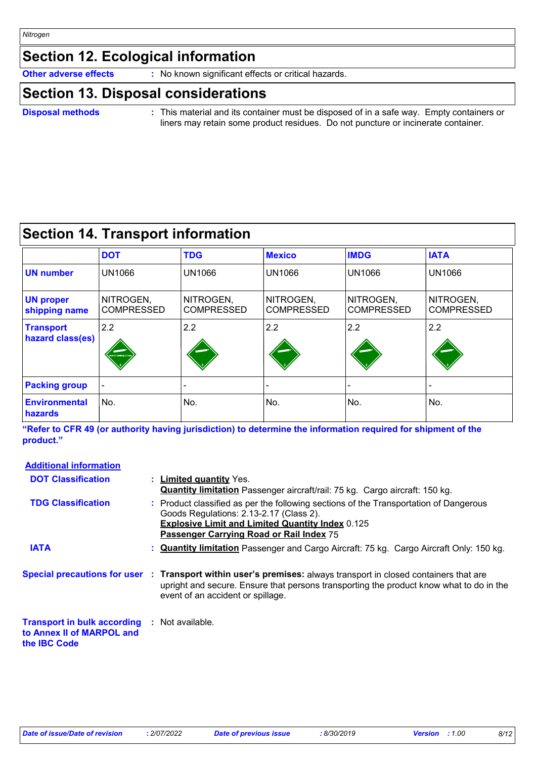# **Section 12. Ecological information**

**Other adverse effects** : No known significant effects or critical hazards.

# **Section 13. Disposal considerations**

### **Disposal methods :**

This material and its container must be disposed of in a safe way. Empty containers or liners may retain some product residues. Do not puncture or incinerate container.

# **Section 14. Transport information**

|                                      | <b>DOT</b>                     | <b>TDG</b>                     | <b>Mexico</b>                  | <b>IMDG</b>                    | <b>IATA</b>                    |
|--------------------------------------|--------------------------------|--------------------------------|--------------------------------|--------------------------------|--------------------------------|
| <b>UN number</b>                     | <b>UN1066</b>                  | <b>UN1066</b>                  | <b>UN1066</b>                  | <b>UN1066</b>                  | <b>UN1066</b>                  |
| <b>UN proper</b><br>shipping name    | NITROGEN,<br><b>COMPRESSED</b> | NITROGEN,<br><b>COMPRESSED</b> | NITROGEN,<br><b>COMPRESSED</b> | NITROGEN,<br><b>COMPRESSED</b> | NITROGEN,<br><b>COMPRESSED</b> |
| <b>Transport</b><br>hazard class(es) | 2.2<br><b>NON-FLAMMABLE GA</b> | 2.2                            | 2.2                            | 2.2                            | 2.2                            |
| <b>Packing group</b>                 |                                |                                |                                |                                |                                |
| <b>Environmental</b><br>hazards      | No.                            | No.                            | No.                            | No.                            | No.                            |

**"Refer to CFR 49 (or authority having jurisdiction) to determine the information required for shipment of the product."** 

### **Limited quantity** Yes. **: Quantity limitation** Passenger aircraft/rail: 75 kg. Cargo aircraft: 150 kg. **Quantity limitation** Passenger and Cargo Aircraft: 75 kg. Cargo Aircraft Only: 150 kg. **: Additional information Special precautions for user Transport within user's premises:** always transport in closed containers that are **: Transport in bulk according :** Not available. **to Annex II of MARPOL and the IBC Code** upright and secure. Ensure that persons transporting the product know what to do in the event of an accident or spillage. Product classified as per the following sections of the Transportation of Dangerous **:** Goods Regulations: 2.13-2.17 (Class 2). **Explosive Limit and Limited Quantity Index** 0.125 **Passenger Carrying Road or Rail Index** 75 **DOT Classification TDG Classification IATA**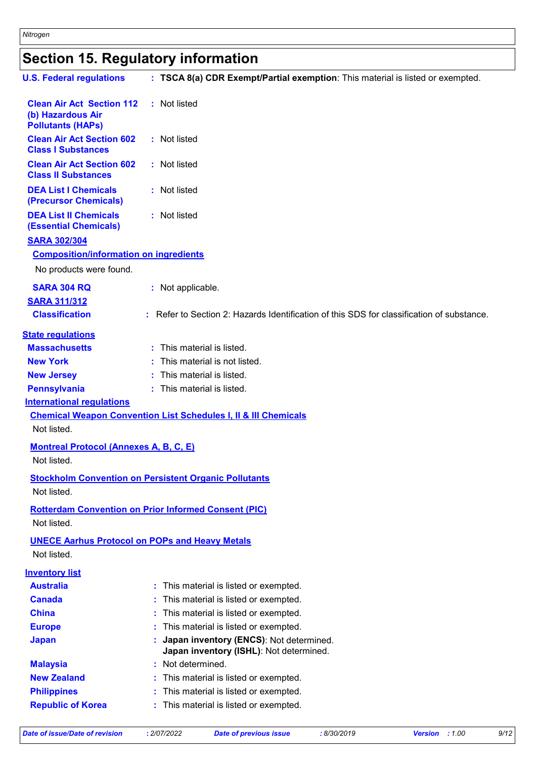# **Section 15. Regulatory information**

| <b>U.S. Federal regulations</b>                                                   | : TSCA 8(a) CDR Exempt/Partial exemption: This material is listed or exempted.            |
|-----------------------------------------------------------------------------------|-------------------------------------------------------------------------------------------|
| <b>Clean Air Act Section 112</b><br>(b) Hazardous Air<br><b>Pollutants (HAPs)</b> | : Not listed                                                                              |
| <b>Clean Air Act Section 602</b><br><b>Class I Substances</b>                     | : Not listed                                                                              |
| <b>Clean Air Act Section 602</b><br><b>Class II Substances</b>                    | : Not listed                                                                              |
| <b>DEA List I Chemicals</b><br>(Precursor Chemicals)                              | : Not listed                                                                              |
| <b>DEA List II Chemicals</b><br><b>(Essential Chemicals)</b>                      | : Not listed                                                                              |
| <b>SARA 302/304</b>                                                               |                                                                                           |
| <b>Composition/information on ingredients</b>                                     |                                                                                           |
| No products were found.                                                           |                                                                                           |
| <b>SARA 304 RQ</b>                                                                | : Not applicable.                                                                         |
| <b>SARA 311/312</b>                                                               |                                                                                           |
| <b>Classification</b>                                                             | : Refer to Section 2: Hazards Identification of this SDS for classification of substance. |
| <b>State regulations</b>                                                          |                                                                                           |
| <b>Massachusetts</b>                                                              | : This material is listed.                                                                |
| <b>New York</b>                                                                   | This material is not listed.                                                              |
| <b>New Jersey</b>                                                                 | : This material is listed.                                                                |
| <b>Pennsylvania</b>                                                               | : This material is listed.                                                                |
| <b>International requlations</b>                                                  |                                                                                           |
|                                                                                   | <b>Chemical Weapon Convention List Schedules I, II &amp; III Chemicals</b>                |
| Not listed.                                                                       |                                                                                           |
| <b>Montreal Protocol (Annexes A, B, C, E)</b><br>Not listed.                      |                                                                                           |
| Not listed.                                                                       | <b>Stockholm Convention on Persistent Organic Pollutants</b>                              |
|                                                                                   | <b>Rotterdam Convention on Prior Informed Consent (PIC)</b>                               |
| Not listed.                                                                       |                                                                                           |
| <b>UNECE Aarhus Protocol on POPs and Heavy Metals</b>                             |                                                                                           |
| Not listed.                                                                       |                                                                                           |
| <b>Inventory list</b>                                                             |                                                                                           |
| <b>Australia</b>                                                                  | This material is listed or exempted.                                                      |
| <b>Canada</b>                                                                     | This material is listed or exempted.                                                      |
| <b>China</b>                                                                      | This material is listed or exempted.                                                      |
| <b>Europe</b>                                                                     | This material is listed or exempted.                                                      |
| <b>Japan</b>                                                                      | Japan inventory (ENCS): Not determined.<br>Japan inventory (ISHL): Not determined.        |
| <b>Malaysia</b>                                                                   | Not determined.                                                                           |
| <b>New Zealand</b>                                                                | This material is listed or exempted.                                                      |
| <b>Philippines</b>                                                                | This material is listed or exempted.                                                      |
| <b>Republic of Korea</b>                                                          | This material is listed or exempted.                                                      |
|                                                                                   |                                                                                           |

*Date of issue/Date of revision* **:** *2/07/2022 Date of previous issue : 8/30/2019 Version : 1.00 9/12*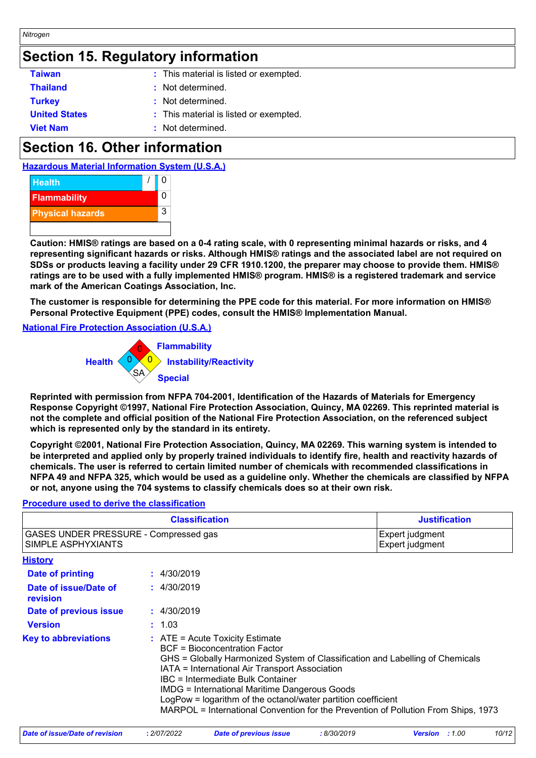# **Section 15. Regulatory information**

| <b>Taiwan</b>        | : This material is listed or exempted. |  |
|----------------------|----------------------------------------|--|
| <b>Thailand</b>      | : Not determined.                      |  |
| <b>Turkey</b>        | : Not determined.                      |  |
| <b>United States</b> | : This material is listed or exempted. |  |
| <b>Viet Nam</b>      | : Not determined.                      |  |

# **Section 16. Other information**





**Caution: HMIS® ratings are based on a 0-4 rating scale, with 0 representing minimal hazards or risks, and 4 representing significant hazards or risks. Although HMIS® ratings and the associated label are not required on SDSs or products leaving a facility under 29 CFR 1910.1200, the preparer may choose to provide them. HMIS® ratings are to be used with a fully implemented HMIS® program. HMIS® is a registered trademark and service mark of the American Coatings Association, Inc.**

**The customer is responsible for determining the PPE code for this material. For more information on HMIS® Personal Protective Equipment (PPE) codes, consult the HMIS® Implementation Manual.**

### **National Fire Protection Association (U.S.A.)**



**Reprinted with permission from NFPA 704-2001, Identification of the Hazards of Materials for Emergency Response Copyright ©1997, National Fire Protection Association, Quincy, MA 02269. This reprinted material is not the complete and official position of the National Fire Protection Association, on the referenced subject which is represented only by the standard in its entirety.**

**Copyright ©2001, National Fire Protection Association, Quincy, MA 02269. This warning system is intended to be interpreted and applied only by properly trained individuals to identify fire, health and reactivity hazards of chemicals. The user is referred to certain limited number of chemicals with recommended classifications in NFPA 49 and NFPA 325, which would be used as a guideline only. Whether the chemicals are classified by NFPA or not, anyone using the 704 systems to classify chemicals does so at their own risk.**

# **Procedure used to derive the classification**

| <b>Classification</b>                                       |  |                                                                                                                                                                                                                                                                                                                                                                                                                                                                           | <b>Justification</b>               |
|-------------------------------------------------------------|--|---------------------------------------------------------------------------------------------------------------------------------------------------------------------------------------------------------------------------------------------------------------------------------------------------------------------------------------------------------------------------------------------------------------------------------------------------------------------------|------------------------------------|
| GASES UNDER PRESSURE - Compressed gas<br>SIMPLE ASPHYXIANTS |  |                                                                                                                                                                                                                                                                                                                                                                                                                                                                           | Expert judgment<br>Expert judgment |
| <u>History</u>                                              |  |                                                                                                                                                                                                                                                                                                                                                                                                                                                                           |                                    |
| <b>Date of printing</b>                                     |  | : 4/30/2019                                                                                                                                                                                                                                                                                                                                                                                                                                                               |                                    |
| Date of issue/Date of<br>revision                           |  | : 4/30/2019                                                                                                                                                                                                                                                                                                                                                                                                                                                               |                                    |
| Date of previous issue                                      |  | : 4/30/2019                                                                                                                                                                                                                                                                                                                                                                                                                                                               |                                    |
| <b>Version</b>                                              |  | : 1.03                                                                                                                                                                                                                                                                                                                                                                                                                                                                    |                                    |
| <b>Key to abbreviations</b>                                 |  | $\therefore$ ATE = Acute Toxicity Estimate<br><b>BCF</b> = Bioconcentration Factor<br>GHS = Globally Harmonized System of Classification and Labelling of Chemicals<br>IATA = International Air Transport Association<br>IBC = Intermediate Bulk Container<br><b>IMDG = International Maritime Dangerous Goods</b><br>LogPow = logarithm of the octanol/water partition coefficient<br>MARPOL = International Convention for the Prevention of Pollution From Ships, 1973 |                                    |

| Date of issue/Date of revision | . 2/07/2022 | <b>Date of previous issue</b> | : 8/30/2019 | <b>Version</b> : 1.00 | 10/12 |
|--------------------------------|-------------|-------------------------------|-------------|-----------------------|-------|
|                                |             |                               |             |                       |       |